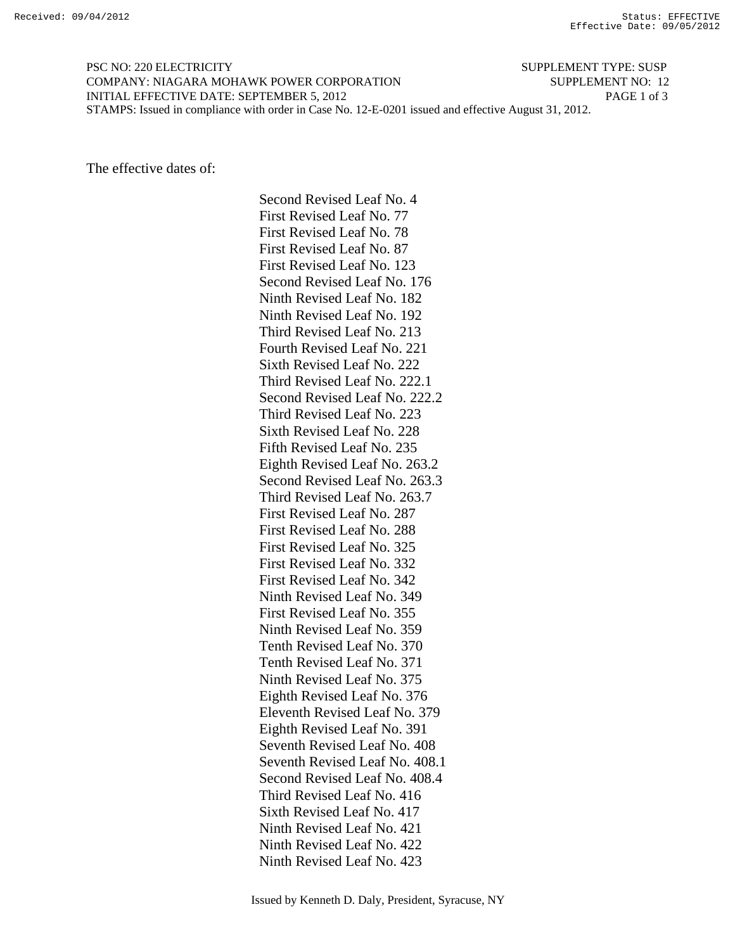PSC NO: 220 ELECTRICITY SUPPLEMENT TYPE: SUSP COMPANY: NIAGARA MOHAWK POWER CORPORATION SUPPLEMENT NO: 12 INITIAL EFFECTIVE DATE: SEPTEMBER 5, 2012 PAGE 1 of 3 STAMPS: Issued in compliance with order in Case No. 12-E-0201 issued and effective August 31, 2012.

The effective dates of:

 Second Revised Leaf No. 4 First Revised Leaf No. 77 First Revised Leaf No. 78 First Revised Leaf No. 87 First Revised Leaf No. 123 Second Revised Leaf No. 176 Ninth Revised Leaf No. 182 Ninth Revised Leaf No. 192 Third Revised Leaf No. 213 Fourth Revised Leaf No. 221 Sixth Revised Leaf No. 222 Third Revised Leaf No. 222.1 Second Revised Leaf No. 222.2 Third Revised Leaf No. 223 Sixth Revised Leaf No. 228 Fifth Revised Leaf No. 235 Eighth Revised Leaf No. 263.2 Second Revised Leaf No. 263.3 Third Revised Leaf No. 263.7 First Revised Leaf No. 287 First Revised Leaf No. 288 First Revised Leaf No. 325 First Revised Leaf No. 332 First Revised Leaf No. 342 Ninth Revised Leaf No. 349 First Revised Leaf No. 355 Ninth Revised Leaf No. 359 Tenth Revised Leaf No. 370 Tenth Revised Leaf No. 371 Ninth Revised Leaf No. 375 Eighth Revised Leaf No. 376 Eleventh Revised Leaf No. 379 Eighth Revised Leaf No. 391 Seventh Revised Leaf No. 408 Seventh Revised Leaf No. 408.1 Second Revised Leaf No. 408.4 Third Revised Leaf No. 416 Sixth Revised Leaf No. 417 Ninth Revised Leaf No. 421 Ninth Revised Leaf No. 422 Ninth Revised Leaf No. 423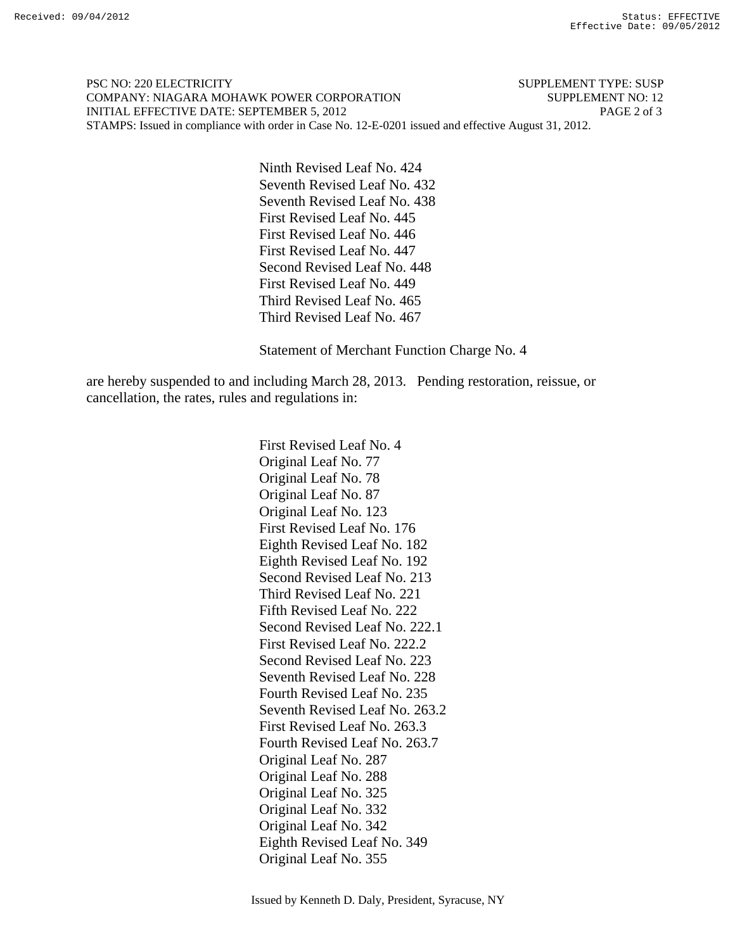PSC NO: 220 ELECTRICITY SUPPLEMENT TYPE: SUSP COMPANY: NIAGARA MOHAWK POWER CORPORATION SUPPLEMENT NO: 12 INITIAL EFFECTIVE DATE: SEPTEMBER 5, 2012 PAGE 2 of 3 STAMPS: Issued in compliance with order in Case No. 12-E-0201 issued and effective August 31, 2012.

> Ninth Revised Leaf No. 424 Seventh Revised Leaf No. 432 Seventh Revised Leaf No. 438 First Revised Leaf No. 445 First Revised Leaf No. 446 First Revised Leaf No. 447 Second Revised Leaf No. 448 First Revised Leaf No. 449 Third Revised Leaf No. 465 Third Revised Leaf No. 467

Statement of Merchant Function Charge No. 4

are hereby suspended to and including March 28, 2013. Pending restoration, reissue, or cancellation, the rates, rules and regulations in:

> First Revised Leaf No. 4 Original Leaf No. 77 Original Leaf No. 78 Original Leaf No. 87 Original Leaf No. 123 First Revised Leaf No. 176 Eighth Revised Leaf No. 182 Eighth Revised Leaf No. 192 Second Revised Leaf No. 213 Third Revised Leaf No. 221 Fifth Revised Leaf No. 222 Second Revised Leaf No. 222.1 First Revised Leaf No. 222.2 Second Revised Leaf No. 223 Seventh Revised Leaf No. 228 Fourth Revised Leaf No. 235 Seventh Revised Leaf No. 263.2 First Revised Leaf No. 263.3 Fourth Revised Leaf No. 263.7 Original Leaf No. 287 Original Leaf No. 288 Original Leaf No. 325 Original Leaf No. 332 Original Leaf No. 342 Eighth Revised Leaf No. 349 Original Leaf No. 355